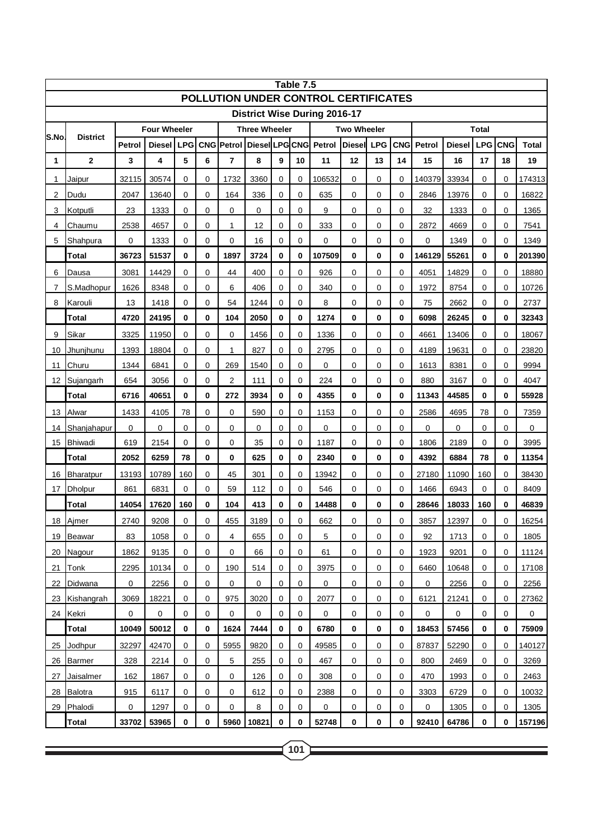| Table 7.5<br>POLLUTION UNDER CONTROL CERTIFICATES |                 |                                |       |             |                   |                |                      |          |        |                                     |    |            |             |                             |           |             |              |        |  |
|---------------------------------------------------|-----------------|--------------------------------|-------|-------------|-------------------|----------------|----------------------|----------|--------|-------------------------------------|----|------------|-------------|-----------------------------|-----------|-------------|--------------|--------|--|
|                                                   |                 |                                |       |             |                   |                |                      |          |        | <b>District Wise During 2016-17</b> |    |            |             |                             |           |             |              |        |  |
| <b>Four Wheeler</b>                               |                 |                                |       |             |                   |                | <b>Three Wheeler</b> |          |        | <b>Two Wheeler</b>                  |    |            |             | <b>Total</b>                |           |             |              |        |  |
| S.No                                              | <b>District</b> | Diesel<br><b>LPG</b><br>Petrol |       |             | <b>CNG Petrol</b> | DieselLPGCNG   |                      |          | Petrol | <b>Diesel</b><br><b>LPG</b>         |    | <b>CNG</b> | Petrol      | <b>LPG</b><br><b>Diesel</b> |           |             | <b>Total</b> |        |  |
| 1                                                 | $\overline{2}$  | 3                              | 4     | 5           | 6                 | $\overline{7}$ | 8                    | 9        | 10     | 11                                  | 12 | 13         | 14          | 15                          | 16        | 17          | 18           | 19     |  |
| 1                                                 | Jaipur          | 32115                          | 30574 | $\Omega$    | 0                 | 1732           | 3360                 | $\Omega$ | 0      | 106532                              | 0  | 0          | 0           | 140379                      | 33934     | $\Omega$    | $\Omega$     | 174313 |  |
| 2                                                 | Dudu            | 2047                           | 13640 | 0           | $\mathbf 0$       | 164            | 336                  | 0        | 0      | 635                                 | 0  | 0          | $\mathbf 0$ | 2846                        | 13976     | $\mathbf 0$ | $\mathbf 0$  | 16822  |  |
| 3                                                 | Kotputli        | 23                             | 1333  | 0           | 0                 | 0              | $\mathbf 0$          | 0        | 0      | 9                                   | 0  | 0          | 0           | 32                          | 1333      | 0           | $\mathbf 0$  | 1365   |  |
| 4                                                 | Chaumu          | 2538                           | 4657  | 0           | 0                 | 1              | 12                   | 0        | 0      | 333                                 | 0  | 0          | $\mathbf 0$ | 2872                        | 4669      | 0           | 0            | 7541   |  |
| 5                                                 | Shahpura        | 0                              | 1333  | 0           | 0                 | 0              | 16                   | 0        | 0      | $\mathbf 0$                         | 0  | 0          | $\mathbf 0$ | 0                           | 1349      | 0           | $\mathbf 0$  | 1349   |  |
|                                                   | <b>Total</b>    | 36723                          | 51537 | 0           | 0                 | 1897           | 3724                 | 0        | 0      | 107509                              | 0  | 0          | 0           | 146129                      | 55261     | $\bf{0}$    | $\bf{0}$     | 201390 |  |
| 6                                                 | Dausa           | 3081                           | 14429 | 0           | 0                 | 44             | 400                  | 0        | 0      | 926                                 | 0  | 0          | $\mathbf 0$ | 4051                        | 14829     | 0           | $\mathbf 0$  | 18880  |  |
| 7                                                 | S.Madhopur      | 1626                           | 8348  | 0           | 0                 | 6              | 406                  | 0        | 0      | 340                                 | 0  | 0          | 0           | 1972                        | 8754      | 0           | $\mathbf 0$  | 10726  |  |
| 8                                                 | Karouli         | 13                             | 1418  | 0           | $\mathbf 0$       | 54             | 1244                 | 0        | 0      | 8                                   | 0  | 0          | $\mathbf 0$ | 75                          | 2662      | $\mathbf 0$ | $\mathbf 0$  | 2737   |  |
|                                                   | Total           | 4720                           | 24195 | 0           | 0                 | 104            | 2050                 | 0        | 0      | 1274                                | 0  | 0          | 0           | 6098                        | 26245     | 0           | 0            | 32343  |  |
| 9                                                 | Sikar           | 3325                           | 11950 | $\Omega$    | 0                 | 0              | 1456                 | 0        | 0      | 1336                                | 0  | 0          | 0           | 4661                        | 13406     | $\Omega$    | $\mathbf 0$  | 18067  |  |
| 10                                                | Jhunjhunu       | 1393                           | 18804 | 0           | 0                 | $\mathbf{1}$   | 827                  | 0        | 0      | 2795                                | 0  | 0          | $\mathbf 0$ | 4189                        | 19631     | $\mathbf 0$ | $\mathbf 0$  | 23820  |  |
| 11                                                | Churu           | 1344                           | 6841  | 0           | 0                 | 269            | 1540                 | 0        | 0      | 0                                   | 0  | 0          | 0           | 1613                        | 8381      | $\Omega$    | $\mathbf 0$  | 9994   |  |
| 12                                                | Sujangarh       | 654                            | 3056  | 0           | $\mathbf 0$       | $\overline{2}$ | 111                  | 0        | 0      | 224                                 | 0  | 0          | $\mathbf 0$ | 880                         | 3167      | $\mathbf 0$ | $\mathbf 0$  | 4047   |  |
|                                                   | <b>Total</b>    | 6716                           | 40651 | 0           | 0                 | 272            | 3934                 | 0        | 0      | 4355                                | 0  | 0          | 0           | 11343                       | 44585     | 0           | 0            | 55928  |  |
| 13                                                | Alwar           | 1433                           | 4105  | 78          | 0                 | 0              | 590                  | 0        | 0      | 1153                                | 0  | 0          | 0           | 2586                        | 4695      | 78          | $\mathbf 0$  | 7359   |  |
| 14                                                | Shanjahapur     | 0                              | 0     | 0           | 0                 | 0              | 0                    | 0        | 0      | 0                                   | 0  | 0          | $\mathbf 0$ | 0                           | 0         | 0           | 0            | 0      |  |
| 15                                                | Bhiwadi         | 619                            | 2154  | 0           | 0                 | 0              | 35                   | 0        | 0      | 1187                                | 0  | 0          | 0           | 1806                        | 2189      | $\mathbf 0$ | $\mathbf 0$  | 3995   |  |
|                                                   | <b>Total</b>    | 2052                           | 6259  | 78          | 0                 | 0              | 625                  | 0        | 0      | 2340                                | 0  | 0          | $\mathbf 0$ | 4392                        | 6884      | 78          | 0            | 11354  |  |
| 16                                                | Bharatpur       | 13193                          | 10789 | 160         | 0                 | 45             | 301                  | 0        | 0      | 13942                               | 0  | 0          | 0           | 27180                       | 11090     | 160         | 0            | 38430  |  |
| 17                                                | Dholpur         | 861                            | 6831  | $\mathbf 0$ | 0                 | 59             | 112                  | 0        | 0      | 546                                 | 0  | 0          | 0           | 1466                        | 6943      | $\mathbf 0$ | $\mathbf 0$  | 8409   |  |
|                                                   | <b>Total</b>    | 14054                          | 17620 | 160         | 0                 | 104            | 413                  | 0        | 0      | 14488                               | 0  | 0          | 0           | 28646                       | 18033     | 160         | 0            | 46839  |  |
| <u>18</u>                                         | Ajmer           | 2740                           | 9208  | 0           | 0                 | 455            | 3189                 | $\Omega$ | 0      | 662                                 | 0  | 0          | 0           | 3857                        | 12397     | $\Omega$    | $\mathbf 0$  | 16254  |  |
| 19                                                | <b>Beawar</b>   | 83                             | 1058  | 0           | 0                 | 4              | 655                  | 0        | 0      | 5                                   | 0  | 0          | 0           | 92                          | 1713      | 0           | 0            | 1805   |  |
| 20                                                | Nagour          | 1862                           | 9135  | 0           | 0                 | 0              | 66                   | 0        | 0      | 61                                  | 0  | 0          | 0           | 1923                        | 9201      | 0           | 0            | 11124  |  |
| 21                                                | Tonk            | 2295                           | 10134 | 0           | 0                 | 190            | 514                  | 0        | 0      | 3975                                | 0  | 0          | 0           | 6460                        | 10648     | 0           | 0            | 17108  |  |
| 22                                                | Didwana         | 0                              | 2256  | 0           | 0                 | 0              | 0                    | 0        | 0      | 0                                   | 0  | 0          | 0           | 0                           | 2256      | 0           | 0            | 2256   |  |
| 23                                                | Kishangrah      | 3069                           | 18221 | 0           | 0                 | 975            | 3020                 | 0        | 0      | 2077                                | 0  | 0          | 0           | 6121                        | 21241     | 0           | 0            | 27362  |  |
|                                                   | 24 Kekri        | $\mathbf 0$                    | 0     | 0           | 0                 | $\mathbf 0$    | $\mathbf 0$          | 0        | 0      | $\pmb{0}$                           | 0  | 0          | 0           | $\mathbf 0$                 | $\pmb{0}$ | 0           | 0            | 0      |  |
|                                                   | Total           | 10049                          | 50012 | 0           | 0                 | 1624           | 7444                 | 0        | 0      | 6780                                | 0  | 0          | 0           | 18453                       | 57456     | 0           | 0            | 75909  |  |
| 25                                                | Jodhpur         | 32297                          | 42470 | 0           | 0                 | 5955           | 9820                 | 0        | 0      | 49585                               | 0  | 0          | 0           | 87837                       | 52290     | 0           | 0            | 140127 |  |
| 26                                                | Barmer          | 328                            | 2214  | 0           | 0                 | 5              | 255                  | 0        | 0      | 467                                 | 0  | 0          | 0           | 800                         | 2469      | 0           | 0            | 3269   |  |
| 27                                                | Jaisalmer       | 162                            | 1867  | 0           | 0                 | 0              | 126                  | 0        | 0      | 308                                 | 0  | 0          | 0           | 470                         | 1993      | 0           | 0            | 2463   |  |
| 28                                                | Balotra         | 915                            | 6117  | 0           | 0                 | 0              | 612                  | 0        | 0      | 2388                                | 0  | 0          | 0           | 3303                        | 6729      | 0           | 0            | 10032  |  |
| 29                                                | Phalodi         | 0                              | 1297  | 0           | 0                 | 0              | 8                    | 0        | 0      | 0                                   | 0  | 0          | 0           | 0                           | 1305      | 0           | 0            | 1305   |  |
|                                                   | <b>Total</b>    | 33702                          | 53965 | 0           | 0                 | 5960           | 10821                | 0        | 0      | 52748                               | 0  | 0          | 0           | 92410                       | 64786     | 0           | 0            | 157196 |  |